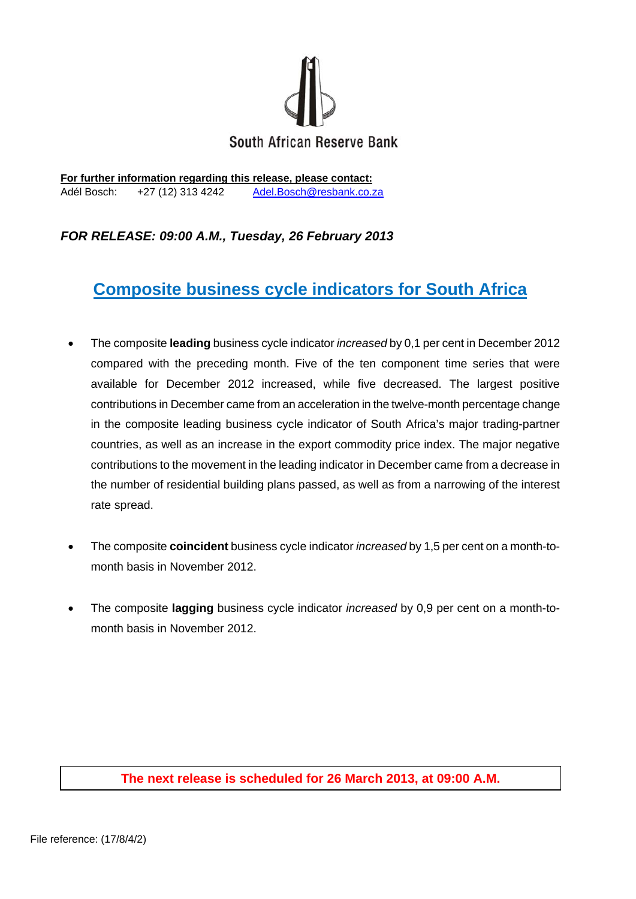

**For further information regarding this release, please contact:**  Adél Bosch: +27 (12) 313 4242 Adel.Bosch@resbank.co.za

## *FOR RELEASE: 09:00 A.M., Tuesday, 26 February 2013*

# **Composite business cycle indicators for South Africa**

- The composite **leading** business cycle indicator *increased* by 0,1 per cent in December 2012 compared with the preceding month. Five of the ten component time series that were available for December 2012 increased, while five decreased. The largest positive contributions in December came from an acceleration in the twelve-month percentage change in the composite leading business cycle indicator of South Africa's major trading-partner countries, as well as an increase in the export commodity price index. The major negative contributions to the movement in the leading indicator in December came from a decrease in the number of residential building plans passed, as well as from a narrowing of the interest rate spread.
- The composite **coincident** business cycle indicator *increased* by 1,5 per cent on a month-tomonth basis in November 2012.
- The composite **lagging** business cycle indicator *increased* by 0,9 per cent on a month-tomonth basis in November 2012.

#### **The next release is scheduled for 26 March 2013, at 09:00 A.M.**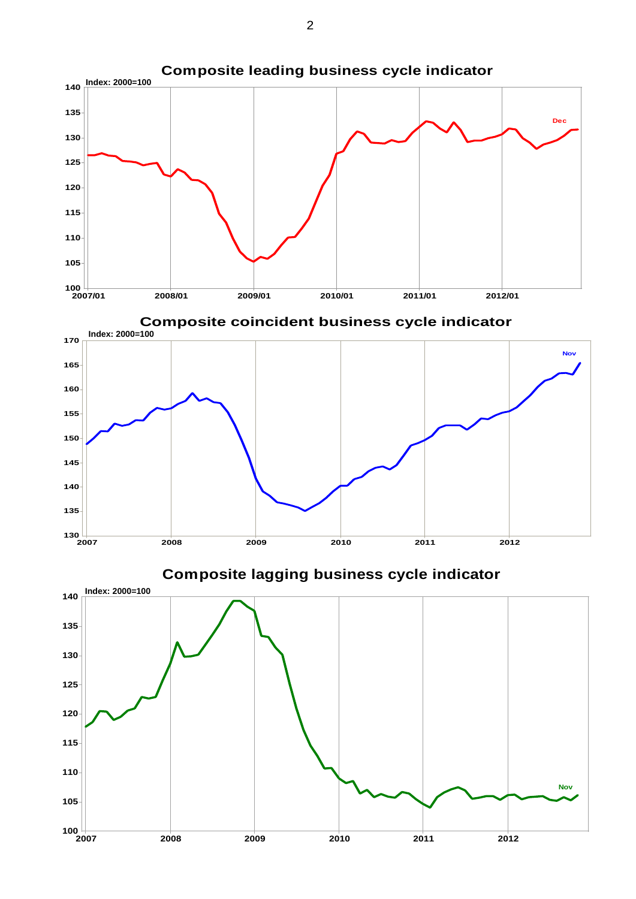

**Composite coincident business cycle indicator Composite coincident business cycle indicator**



**Composite lagging business cycle indicator Composite lagging business cycle indicator**